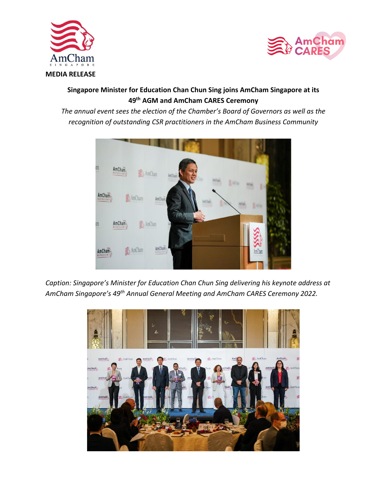



## **Singapore Minister for Education Chan Chun Sing joins AmCham Singapore at its 49th AGM and AmCham CARES Ceremony**

*The annual event sees the election of the Chamber's Board of Governors as well as the recognition of outstanding CSR practitioners in the AmCham Business Community*



*Caption: Singapore's Minister for Education Chan Chun Sing delivering his keynote address at AmCham Singapore's 49th Annual General Meeting and AmCham CARES Ceremony 2022.* 

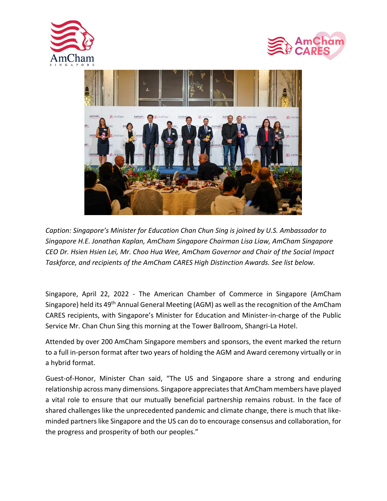





*Caption: Singapore's Minister for Education Chan Chun Sing is joined by U.S. Ambassador to Singapore H.E. Jonathan Kaplan, AmCham Singapore Chairman Lisa Liaw, AmCham Singapore CEO Dr. Hsien Hsien Lei, Mr. Choo Hua Wee, AmCham Governor and Chair of the Social Impact Taskforce, and recipients of the AmCham CARES High Distinction Awards. See list below.* 

Singapore, April 22, 2022 - The American Chamber of Commerce in Singapore (AmCham Singapore) held its 49<sup>th</sup> Annual General Meeting (AGM) as well as the recognition of the AmCham CARES recipients, with Singapore's Minister for Education and Minister-in-charge of the Public Service Mr. Chan Chun Sing this morning at the Tower Ballroom, Shangri-La Hotel.

Attended by over 200 AmCham Singapore members and sponsors, the event marked the return to a full in-person format after two years of holding the AGM and Award ceremony virtually or in a hybrid format.

Guest-of-Honor, Minister Chan said, "The US and Singapore share a strong and enduring relationship across many dimensions. Singapore appreciates that AmCham members have played a vital role to ensure that our mutually beneficial partnership remains robust. In the face of shared challenges like the unprecedented pandemic and climate change, there is much that likeminded partners like Singapore and the US can do to encourage consensus and collaboration, for the progress and prosperity of both our peoples."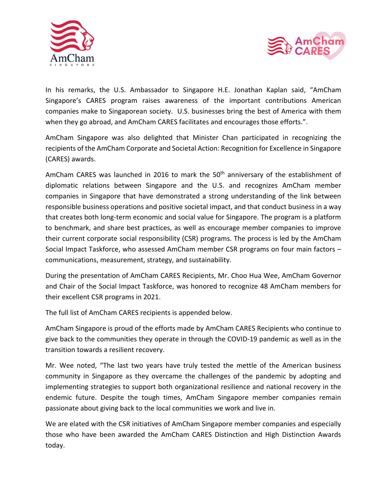



In his remarks, the U.S. Ambassador to Singapore H.E. Jonathan Kaplan said, "AmCham Singapore's CARES program raises awareness of the important contributions American companies make to Singaporean society. U.S. businesses bring the best of America with them when they go abroad, and AmCham CARES facilitates and encourages those efforts.".

AmCham Singapore was also delighted that Minister Chan participated in recognizing the recipients of the AmCham Corporate and Societal Action: Recognition for Excellence in Singapore (CARES) awards.

AmCham CARES was launched in 2016 to mark the 50<sup>th</sup> anniversary of the establishment of diplomatic relations between Singapore and the U.S. and recognizes AmCham member companies in Singapore that have demonstrated a strong understanding of the link between responsible business operations and positive societal impact, and that conduct business in a way that creates both long-term economic and social value for Singapore. The program is a platform to benchmark, and share best practices, as well as encourage member companies to improve their current corporate social responsibility (CSR) programs. The process is led by the AmCham Social Impact Taskforce, who assessed AmCham member CSR programs on four main factors – communications, measurement, strategy, and sustainability.

During the presentation of AmCham CARES Recipients, Mr. Choo Hua Wee, AmCham Governor and Chair of the Social Impact Taskforce, was honored to recognize 48 AmCham members for their excellent CSR programs in 2021.

The full list of AmCham CARES recipients is appended below.

AmCham Singapore is proud of the efforts made by AmCham CARES Recipients who continue to give back to the communities they operate in through the COVID-19 pandemic as well as in the transition towards a resilient recovery.

Mr. Wee noted, "The last two years have truly tested the mettle of the American business community in Singapore as they overcame the challenges of the pandemic by adopting and implementing strategies to support both organizational resilience and national recovery in the endemic future. Despite the tough times, AmCham Singapore member companies remain passionate about giving back to the local communities we work and live in.

We are elated with the CSR initiatives of AmCham Singapore member companies and especially those who have been awarded the AmCham CARES Distinction and High Distinction Awards today.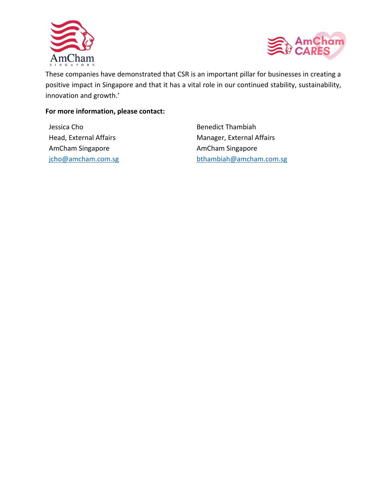



These companies have demonstrated that CSR is an important pillar for businesses in creating a positive impact in Singapore and that it has a vital role in our continued stability, sustainability, innovation and growth.'

## **For more information, please contact:**

Jessica Cho Head, External Affairs AmCham Singapore [jcho@amcham.com.sg](mailto:jcho@amcham.com.sg) Benedict Thambiah Manager, External Affairs AmCham Singapore [bthambiah@amcham.com.sg](mailto:bthambiah@amcham.com.sg)